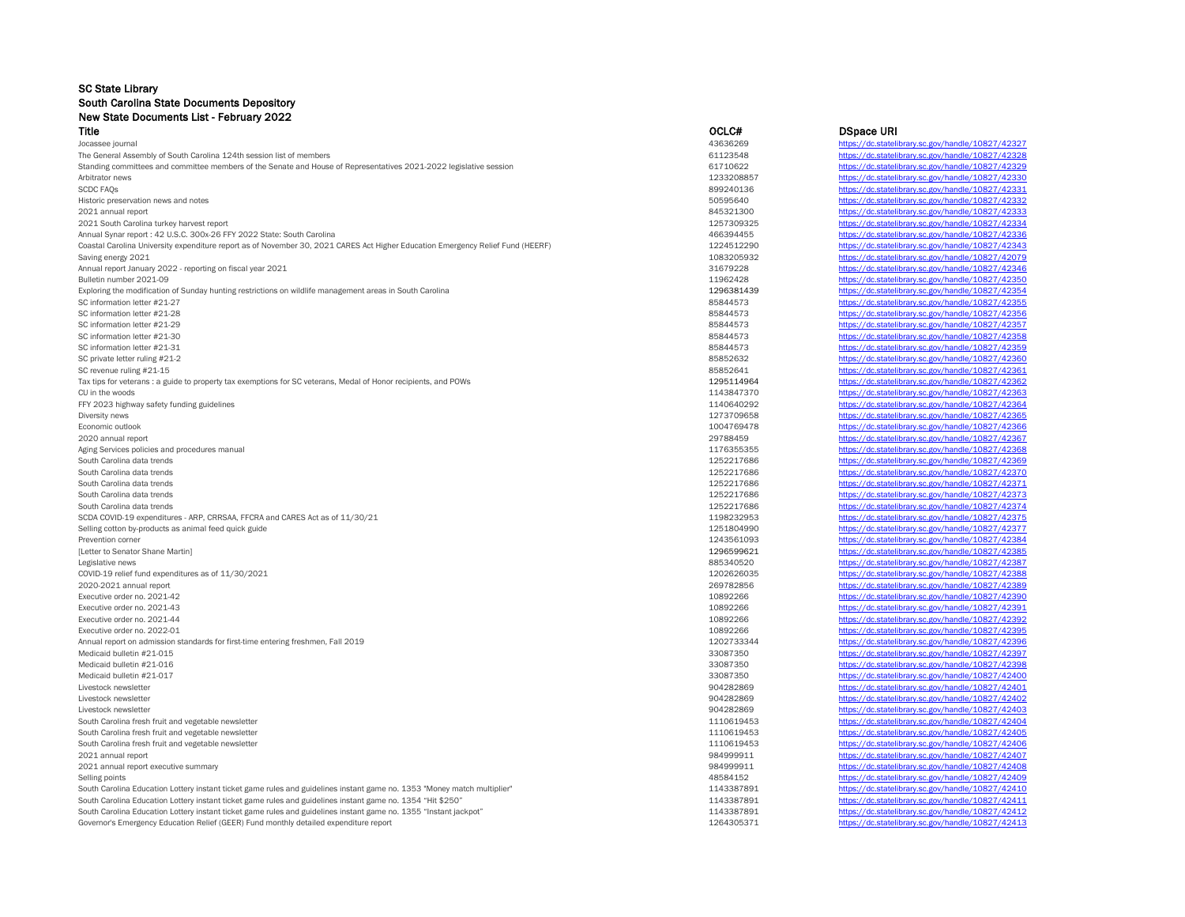## SC State Library South Carolina State Documents Depository New State Documents List - February 2022<br>Title Title OCLC# DSpace URI

| The General Assembly of South Carolina 124th session list of members                                                            | 61123548   | https://dc.statelibrary.sc.gov/handle/10827/42328                                                      |
|---------------------------------------------------------------------------------------------------------------------------------|------------|--------------------------------------------------------------------------------------------------------|
| Standing committees and committee members of the Senate and House of Representatives 2021-2022 legislative session              | 61710622   | https://dc.statelibrary.sc.gov/handle/10827/42329                                                      |
| Arbitrator news                                                                                                                 | 1233208857 | https://dc.statelibrary.sc.gov/handle/10827/42330                                                      |
| <b>SCDC FAQS</b>                                                                                                                | 899240136  | https://dc.statelibrary.sc.gov/handle/10827/42331                                                      |
| Historic preservation news and notes                                                                                            | 50595640   | https://dc.statelibrary.sc.gov/handle/10827/42332                                                      |
| 2021 annual report                                                                                                              | 845321300  | https://dc.statelibrary.sc.gov/handle/10827/42333                                                      |
| 2021 South Carolina turkey harvest report                                                                                       | 1257309325 | https://dc.statelibrary.sc.gov/handle/10827/42334                                                      |
| Annual Synar report: 42 U.S.C. 300x-26 FFY 2022 State: South Carolina                                                           | 466394455  | https://dc.statelibrary.sc.gov/handle/10827/42336                                                      |
| Coastal Carolina University expenditure report as of November 30, 2021 CARES Act Higher Education Emergency Relief Fund (HEERF) | 1224512290 | https://dc.statelibrary.sc.gov/handle/10827/42343                                                      |
| Saving energy 2021                                                                                                              | 1083205932 | https://dc.statelibrary.sc.gov/handle/10827/42079                                                      |
| Annual report January 2022 - reporting on fiscal year 2021                                                                      | 31679228   | https://dc.statelibrary.sc.gov/handle/10827/42346                                                      |
| Bulletin number 2021-09                                                                                                         | 11962428   | https://dc.statelibrary.sc.gov/handle/10827/42350                                                      |
| Exploring the modification of Sunday hunting restrictions on wildlife management areas in South Carolina                        | 1296381439 | https://dc.statelibrary.sc.gov/handle/10827/42354                                                      |
| SC information letter #21-27                                                                                                    | 85844573   | https://dc.statelibrary.sc.gov/handle/10827/42355                                                      |
| SC information letter #21-28                                                                                                    | 85844573   |                                                                                                        |
|                                                                                                                                 |            | https://dc.statelibrary.sc.gov/handle/10827/42356                                                      |
| SC information letter #21-29                                                                                                    | 85844573   | https://dc.statelibrary.sc.gov/handle/10827/42357                                                      |
| SC information letter #21-30                                                                                                    | 85844573   | https://dc.statelibrary.sc.gov/handle/10827/42358                                                      |
| SC information letter #21-31                                                                                                    | 85844573   | https://dc.statelibrary.sc.gov/handle/10827/42359                                                      |
| SC private letter ruling #21-2                                                                                                  | 85852632   | https://dc.statelibrary.sc.gov/handle/10827/42360                                                      |
| SC revenue ruling #21-15                                                                                                        | 85852641   | https://dc.statelibrary.sc.gov/handle/10827/42361                                                      |
| Tax tips for veterans : a guide to property tax exemptions for SC veterans, Medal of Honor recipients, and POWs                 | 1295114964 | https://dc.statelibrary.sc.gov/handle/10827/42362                                                      |
| CU in the woods                                                                                                                 | 1143847370 | https://dc.statelibrary.sc.gov/handle/10827/42363                                                      |
| FFY 2023 highway safety funding guidelines                                                                                      | 1140640292 | https://dc.statelibrary.sc.gov/handle/10827/42364                                                      |
| Diversity news                                                                                                                  | 1273709658 | https://dc.statelibrary.sc.gov/handle/10827/42365                                                      |
| Economic outlook                                                                                                                | 1004769478 | https://dc.statelibrary.sc.gov/handle/10827/42366                                                      |
| 2020 annual report                                                                                                              | 29788459   | https://dc.statelibrary.sc.gov/handle/10827/42367                                                      |
| Aging Services policies and procedures manual                                                                                   | 1176355355 | https://dc.statelibrary.sc.gov/handle/10827/42368                                                      |
| South Carolina data trends                                                                                                      | 1252217686 | https://dc.statelibrary.sc.gov/handle/10827/42369                                                      |
| South Carolina data trends                                                                                                      | 1252217686 | https://dc.statelibrary.sc.gov/handle/10827/42370                                                      |
| South Carolina data trends                                                                                                      | 1252217686 | https://dc.statelibrary.sc.gov/handle/10827/42371                                                      |
| South Carolina data trends                                                                                                      | 1252217686 | https://dc.statelibrary.sc.gov/handle/10827/42373                                                      |
| South Carolina data trends                                                                                                      | 1252217686 | https://dc.statelibrary.sc.gov/handle/10827/42374                                                      |
| SCDA COVID-19 expenditures - ARP, CRRSAA, FFCRA and CARES Act as of 11/30/21                                                    | 1198232953 | https://dc.statelibrary.sc.gov/handle/10827/42375                                                      |
| Selling cotton by-products as animal feed quick guide                                                                           | 1251804990 | https://dc.statelibrary.sc.gov/handle/10827/42371                                                      |
| Prevention corner                                                                                                               | 1243561093 | https://dc.statelibrary.sc.gov/handle/10827/42384                                                      |
| [Letter to Senator Shane Martin]                                                                                                | 1296599621 | https://dc.statelibrary.sc.gov/handle/10827/42385                                                      |
| Legislative news                                                                                                                | 885340520  | https://dc.statelibrary.sc.gov/handle/10827/42387                                                      |
| COVID-19 relief fund expenditures as of 11/30/2021                                                                              | 1202626035 | https://dc.statelibrary.sc.gov/handle/10827/42388                                                      |
|                                                                                                                                 | 269782856  |                                                                                                        |
| 2020-2021 annual report                                                                                                         |            | https://dc.statelibrary.sc.gov/handle/10827/42389<br>https://dc.statelibrary.sc.gov/handle/10827/42390 |
| Executive order no. 2021-42                                                                                                     | 10892266   |                                                                                                        |
| Executive order no. 2021-43                                                                                                     | 10892266   | https://dc.statelibrary.sc.gov/handle/10827/42391                                                      |
| Executive order no. 2021-44                                                                                                     | 10892266   | https://dc.statelibrary.sc.gov/handle/10827/42392                                                      |
| Executive order no. 2022-01                                                                                                     | 10892266   | https://dc.statelibrary.sc.gov/handle/10827/42395                                                      |
| Annual report on admission standards for first-time entering freshmen, Fall 2019                                                | 1202733344 | https://dc.statelibrary.sc.gov/handle/10827/42396                                                      |
| Medicaid bulletin #21-015                                                                                                       | 33087350   | https://dc.statelibrary.sc.gov/handle/10827/42397                                                      |
| Medicaid bulletin #21-016                                                                                                       | 33087350   | https://dc.statelibrary.sc.gov/handle/10827/42398                                                      |
| Medicaid bulletin #21-017                                                                                                       | 33087350   | https://dc.statelibrary.sc.gov/handle/10827/42400                                                      |
| Livestock newsletter                                                                                                            | 904282869  | https://dc.statelibrary.sc.gov/handle/10827/42401                                                      |
| Livestock newsletter                                                                                                            | 904282869  | https://dc.statelibrary.sc.gov/handle/10827/42402                                                      |
| Livestock newsletter                                                                                                            | 904282869  | https://dc.statelibrary.sc.gov/handle/10827/42403                                                      |
| South Carolina fresh fruit and vegetable newsletter                                                                             | 1110619453 | https://dc.statelibrary.sc.gov/handle/10827/42404                                                      |
| South Carolina fresh fruit and vegetable newsletter                                                                             | 1110619453 | https://dc.statelibrary.sc.gov/handle/10827/42405                                                      |
| South Carolina fresh fruit and vegetable newsletter                                                                             | 1110619453 | https://dc.statelibrary.sc.gov/handle/10827/42406                                                      |
| 2021 annual report                                                                                                              | 984999911  | https://dc.statelibrary.sc.gov/handle/10827/42407                                                      |
| 2021 annual report executive summary                                                                                            | 984999911  | https://dc.statelibrary.sc.gov/handle/10827/42408                                                      |
| Selling points                                                                                                                  | 48584152   | https://dc.statelibrary.sc.gov/handle/10827/42409                                                      |
| South Carolina Education Lottery instant ticket game rules and guidelines instant game no. 1353 "Money match multiplier"        | 1143387891 | https://dc.statelibrary.sc.gov/handle/10827/42410                                                      |
| South Carolina Education Lottery instant ticket game rules and guidelines instant game no. 1354 "Hit \$250"                     | 1143387891 | https://dc.statelibrary.sc.gov/handle/10827/42411                                                      |
| South Carolina Education Lottery instant ticket game rules and guidelines instant game no. 1355 "Instant jackpot"               | 1143387891 | https://dc.statelibrary.sc.gov/handle/10827/42412                                                      |
| Governor's Emergency Education Relief (GEER) Fund monthly detailed expenditure report                                           | 1264305371 | https://dc.statelibrary.sc.gov/handle/10827/42413                                                      |
|                                                                                                                                 |            |                                                                                                        |

| TING                                                                                                                            | uulu#                    | <b>D</b> opace URI                                |
|---------------------------------------------------------------------------------------------------------------------------------|--------------------------|---------------------------------------------------|
| Jocassee journal                                                                                                                | 43636269                 | https://dc.statelibrary.sc.gov/handle/10827/42327 |
| The General Assembly of South Carolina 124th session list of members                                                            | 61123548                 | https://dc.statelibrary.sc.gov/handle/10827/42328 |
| Standing committees and committee members of the Senate and House of Representatives 2021-2022 legislative session              | 61710622                 | https://dc.statelibrary.sc.gov/handle/10827/42329 |
| Arbitrator news                                                                                                                 | 1233208857               | https://dc.statelibrary.sc.gov/handle/10827/42330 |
| <b>SCDC FAOS</b>                                                                                                                | 899240136                | https://dc.statelibrary.sc.gov/handle/10827/42331 |
| Historic preservation news and notes                                                                                            | 50595640                 | https://dc.statelibrary.sc.gov/handle/10827/42332 |
| 2021 annual report                                                                                                              | 845321300                | https://dc.statelibrary.sc.gov/handle/10827/42333 |
| 2021 South Carolina turkey harvest report                                                                                       | 1257309325               | https://dc.statelibrary.sc.gov/handle/10827/42334 |
| Annual Synar report: 42 U.S.C. 300x-26 FFY 2022 State: South Carolina                                                           | 466394455                | https://dc.statelibrary.sc.gov/handle/10827/42336 |
| Coastal Carolina University expenditure report as of November 30, 2021 CARES Act Higher Education Emergency Relief Fund (HEERF) | 1224512290               | https://dc.statelibrary.sc.gov/handle/10827/42343 |
| Saving energy 2021                                                                                                              | 1083205932               | https://dc.statelibrary.sc.gov/handle/10827/42079 |
| Annual report January 2022 - reporting on fiscal year 2021                                                                      | 31679228                 | https://dc.statelibrary.sc.gov/handle/10827/42346 |
| Bulletin number 2021-09                                                                                                         | 11962428                 | https://dc.statelibrary.sc.gov/handle/10827/42350 |
| Exploring the modification of Sunday hunting restrictions on wildlife management areas in South Carolina                        | 1296381439               | https://dc.statelibrary.sc.gov/handle/10827/42354 |
| SC information letter #21-27                                                                                                    | 85844573                 | https://dc.statelibrary.sc.gov/handle/10827/42355 |
| SC information letter #21-28                                                                                                    | 85844573                 | https://dc.statelibrary.sc.gov/handle/10827/42356 |
| SC information letter #21-29                                                                                                    | 85844573                 | https://dc.statelibrary.sc.gov/handle/10827/42357 |
| SC information letter #21-30                                                                                                    | 85844573                 | https://dc.statelibrary.sc.gov/handle/10827/42358 |
| SC information letter #21-31                                                                                                    | 85844573                 | https://dc.statelibrary.sc.gov/handle/10827/42359 |
| SC private letter ruling #21-2                                                                                                  | 85852632                 | https://dc.statelibrary.sc.gov/handle/10827/42360 |
| SC revenue ruling #21-15                                                                                                        | 85852641                 | https://dc.statelibrary.sc.gov/handle/10827/42361 |
| Tax tips for veterans : a guide to property tax exemptions for SC veterans, Medal of Honor recipients, and POWs                 | 1295114964               | https://dc.statelibrary.sc.gov/handle/10827/42362 |
| CU in the woods                                                                                                                 | 1143847370               | https://dc.statelibrary.sc.gov/handle/10827/42363 |
|                                                                                                                                 |                          | https://dc.statelibrary.sc.gov/handle/10827/42364 |
| FFY 2023 highway safety funding guidelines                                                                                      | 1140640292<br>1273709658 | https://dc.statelibrary.sc.gov/handle/10827/42365 |
| Diversity news                                                                                                                  |                          |                                                   |
| Economic outlook                                                                                                                | 1004769478               | https://dc.statelibrary.sc.gov/handle/10827/42366 |
| 2020 annual report                                                                                                              | 29788459                 | https://dc.statelibrary.sc.gov/handle/10827/42367 |
| Aging Services policies and procedures manual                                                                                   | 1176355355               | https://dc.statelibrary.sc.gov/handle/10827/42368 |
| South Carolina data trends                                                                                                      | 1252217686               | https://dc.statelibrary.sc.gov/handle/10827/42369 |
| South Carolina data trends                                                                                                      | 1252217686               | https://dc.statelibrary.sc.gov/handle/10827/42370 |
| South Carolina data trends                                                                                                      | 1252217686               | https://dc.statelibrary.sc.gov/handle/10827/42371 |
| South Carolina data trends                                                                                                      | 1252217686               | https://dc.statelibrary.sc.gov/handle/10827/42373 |
| South Carolina data trends                                                                                                      | 1252217686               | https://dc.statelibrary.sc.gov/handle/10827/42374 |
| SCDA COVID-19 expenditures - ARP, CRRSAA, FFCRA and CARES Act as of 11/30/21                                                    | 1198232953               | https://dc.statelibrary.sc.gov/handle/10827/42375 |
| Selling cotton by-products as animal feed quick guide                                                                           | 1251804990               | https://dc.statelibrary.sc.gov/handle/10827/42377 |
| Prevention corner                                                                                                               | 1243561093               | https://dc.statelibrary.sc.gov/handle/10827/42384 |
| [Letter to Senator Shane Martin]                                                                                                | 1296599621               | https://dc.statelibrary.sc.gov/handle/10827/42385 |
| Legislative news                                                                                                                | 885340520                | https://dc.statelibrary.sc.gov/handle/10827/42387 |
| COVID-19 relief fund expenditures as of 11/30/2021                                                                              | 1202626035               | https://dc.statelibrary.sc.gov/handle/10827/42388 |
| 2020-2021 annual report                                                                                                         | 269782856                | https://dc.statelibrary.sc.gov/handle/10827/42389 |
| Executive order no. 2021-42                                                                                                     | 10892266                 | https://dc.statelibrary.sc.gov/handle/10827/42390 |
| Executive order no. 2021-43                                                                                                     | 10892266                 | https://dc.statelibrary.sc.gov/handle/10827/42391 |
| Executive order no. 2021-44                                                                                                     | 10892266                 | https://dc.statelibrary.sc.gov/handle/10827/42392 |
| Executive order no. 2022-01                                                                                                     | 10892266                 | https://dc.statelibrary.sc.gov/handle/10827/42395 |
| Annual report on admission standards for first-time entering freshmen, Fall 2019                                                | 1202733344               | https://dc.statelibrary.sc.gov/handle/10827/42396 |
| Medicaid bulletin #21-015                                                                                                       | 33087350                 | https://dc.statelibrary.sc.gov/handle/10827/42397 |
| Medicaid bulletin #21-016                                                                                                       | 33087350                 | https://dc.statelibrary.sc.gov/handle/10827/42398 |
| Medicaid bulletin #21-017                                                                                                       | 33087350                 | https://dc.statelibrary.sc.gov/handle/10827/42400 |
| Livestock newsletter                                                                                                            | 904282869                | https://dc.statelibrary.sc.gov/handle/10827/42401 |
| Livestock newsletter                                                                                                            | 904282869                | https://dc.statelibrary.sc.gov/handle/10827/42402 |
| Livestock newsletter                                                                                                            | 904282869                | https://dc.statelibrary.sc.gov/handle/10827/42403 |
| South Carolina fresh fruit and vegetable newsletter                                                                             | 1110619453               | https://dc.statelibrary.sc.gov/handle/10827/42404 |
| South Carolina fresh fruit and vegetable newsletter                                                                             | 1110619453               | https://dc.statelibrary.sc.gov/handle/10827/42405 |
| South Carolina fresh fruit and vegetable newsletter                                                                             | 1110619453               | https://dc.statelibrary.sc.gov/handle/10827/42406 |
| 2021 annual report                                                                                                              | 984999911                | https://dc.statelibrary.sc.gov/handle/10827/42407 |
| 2021 annual report executive summary                                                                                            | 984999911                | https://dc.statelibrary.sc.gov/handle/10827/42408 |
| Selling points                                                                                                                  | 48584152                 | https://dc.statelibrary.sc.gov/handle/10827/42409 |
| South Carolina Education Lottery instant ticket game rules and guidelines instant game no. 1353 "Money match multiplier"        | 1143387891               | https://dc.statelibrary.sc.gov/handle/10827/42410 |
|                                                                                                                                 |                          | https://dc.statelibrary.sc.gov/handle/10827/42411 |
| "South Carolina Education Lottery instant ticket game rules and guidelines instant game no. 1354 "Hit \$250                     | 1143387891               |                                                   |
| South Carolina Education Lottery instant ticket game rules and guidelines instant game no. 1355 "Instant jackpot"               | 1143387891               | https://dc.statelibrary.sc.gov/handle/10827/42412 |
| Governor's Emergency Education Relief (GEER) Fund monthly detailed expenditure report                                           | 1264305371               | https://dc.statelibrary.sc.gov/handle/10827/42413 |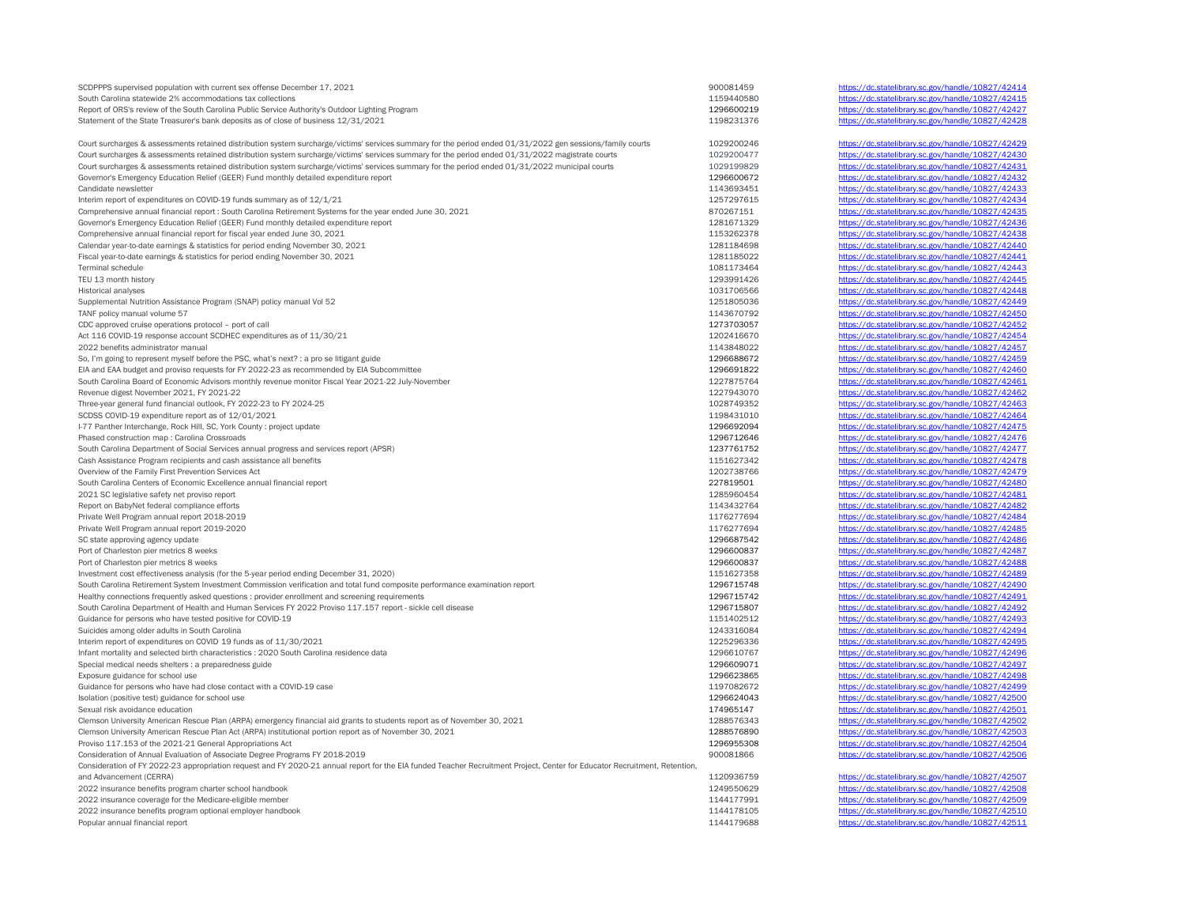| SCDPPPS supervised population with current sex offense December 17, 2021                                                                                                   | 900081459  | https://dc.statelibrary.sc.gov/handle/10827/42414 |
|----------------------------------------------------------------------------------------------------------------------------------------------------------------------------|------------|---------------------------------------------------|
| South Carolina statewide 2% accommodations tax collections                                                                                                                 | 1159440580 | https://dc.statelibrary.sc.gov/handle/10827/42415 |
| Report of ORS's review of the South Carolina Public Service Authority's Outdoor Lighting Program                                                                           | 1296600219 | https://dc.statelibrary.sc.gov/handle/10827/42427 |
| Statement of the State Treasurer's bank deposits as of close of business 12/31/2021                                                                                        | 1198231376 | https://dc.statelibrary.sc.gov/handle/10827/42428 |
| Court surcharges & assessments retained distribution system surcharge/victims' services summary for the period ended 01/31/2022 gen sessions/family courts                 | 1029200246 | https://dc.statelibrary.sc.gov/handle/10827/42429 |
| Court surcharges & assessments retained distribution system surcharge/victims' services summary for the period ended 01/31/2022 magistrate courts                          | 1029200477 | https://dc.statelibrary.sc.gov/handle/10827/42430 |
| Court surcharges & assessments retained distribution system surcharge/victims' services summary for the period ended 01/31/2022 municipal courts                           | 1029199829 | https://dc.statelibrary.sc.gov/handle/10827/42431 |
| Governor's Emergency Education Relief (GEER) Fund monthly detailed expenditure report                                                                                      | 1296600672 | https://dc.statelibrary.sc.gov/handle/10827/42432 |
|                                                                                                                                                                            |            | https://dc.statelibrary.sc.gov/handle/10827/42433 |
| Candidate newsletter                                                                                                                                                       | 1143693451 |                                                   |
| Interim report of expenditures on COVID-19 funds summary as of 12/1/21                                                                                                     | 1257297615 | https://dc.statelibrary.sc.gov/handle/10827/42434 |
| Comprehensive annual financial report : South Carolina Retirement Systems for the year ended June 30, 2021                                                                 | 870267151  | https://dc.statelibrary.sc.gov/handle/10827/42435 |
| Governor's Emergency Education Relief (GEER) Fund monthly detailed expenditure report                                                                                      | 1281671329 | https://dc.statelibrary.sc.gov/handle/10827/42436 |
| Comprehensive annual financial report for fiscal year ended June 30, 2021                                                                                                  | 1153262378 | https://dc.statelibrary.sc.gov/handle/10827/42438 |
| Calendar year-to-date earnings & statistics for period ending November 30, 2021                                                                                            | 1281184698 | https://dc.statelibrary.sc.gov/handle/10827/42440 |
| Fiscal year-to-date earnings & statistics for period ending November 30, 2021                                                                                              | 1281185022 | https://dc.statelibrary.sc.gov/handle/10827/42441 |
| <b>Terminal schedule</b>                                                                                                                                                   | 1081173464 | https://dc.statelibrary.sc.gov/handle/10827/42443 |
| TEU 13 month history                                                                                                                                                       | 1293991426 | https://dc.statelibrary.sc.gov/handle/10827/42445 |
| Historical analyses                                                                                                                                                        | 1031706566 | https://dc.statelibrary.sc.gov/handle/10827/42448 |
| Supplemental Nutrition Assistance Program (SNAP) policy manual Vol 52                                                                                                      | 1251805036 | https://dc.statelibrary.sc.gov/handle/10827/42449 |
| TANF policy manual volume 57                                                                                                                                               | 1143670792 | https://dc.statelibrary.sc.gov/handle/10827/42450 |
| CDC approved cruise operations protocol - port of call                                                                                                                     | 1273703057 | https://dc.statelibrary.sc.gov/handle/10827/42452 |
| Act 116 COVID-19 response account SCDHEC expenditures as of 11/30/21                                                                                                       | 1202416670 | https://dc.statelibrary.sc.gov/handle/10827/42454 |
| 2022 benefits administrator manual                                                                                                                                         | 1143848022 | https://dc.statelibrary.sc.gov/handle/10827/42457 |
| So, I'm going to represent myself before the PSC, what's next? : a pro se litigant guide                                                                                   | 1296688672 | https://dc.statelibrary.sc.gov/handle/10827/42459 |
| EIA and EAA budget and proviso requests for FY 2022-23 as recommended by EIA Subcommittee                                                                                  | 1296691822 | https://dc.statelibrary.sc.gov/handle/10827/42460 |
| South Carolina Board of Economic Advisors monthly revenue monitor Fiscal Year 2021-22 July-November                                                                        | 1227875764 | https://dc.statelibrary.sc.gov/handle/10827/42461 |
| Revenue digest November 2021, FY 2021-22                                                                                                                                   | 1227943070 | https://dc.statelibrary.sc.gov/handle/10827/42462 |
|                                                                                                                                                                            |            |                                                   |
| Three-year general fund financial outlook, FY 2022-23 to FY 2024-25                                                                                                        | 1028749352 | https://dc.statelibrary.sc.gov/handle/10827/42463 |
| SCDSS COVID-19 expenditure report as of 12/01/2021                                                                                                                         | 1198431010 | https://dc.statelibrary.sc.gov/handle/10827/42464 |
| I-77 Panther Interchange, Rock Hill, SC, York County : project update                                                                                                      | 1296692094 | https://dc.statelibrary.sc.gov/handle/10827/42475 |
| Phased construction map : Carolina Crossroads                                                                                                                              | 1296712646 | https://dc.statelibrary.sc.gov/handle/10827/42476 |
| South Carolina Department of Social Services annual progress and services report (APSR)                                                                                    | 1237761752 | https://dc.statelibrary.sc.gov/handle/10827/42477 |
| Cash Assistance Program recipients and cash assistance all benefits                                                                                                        | 1151627342 | https://dc.statelibrary.sc.gov/handle/10827/42478 |
| Overview of the Family First Prevention Services Act                                                                                                                       | 1202738766 | https://dc.statelibrary.sc.gov/handle/10827/42479 |
| South Carolina Centers of Economic Excellence annual financial report                                                                                                      | 227819501  | https://dc.statelibrary.sc.gov/handle/10827/42480 |
| 2021 SC legislative safety net proviso report                                                                                                                              | 1285960454 | https://dc.statelibrary.sc.gov/handle/10827/42481 |
| Report on BabyNet federal compliance efforts                                                                                                                               | 1143432764 | https://dc.statelibrary.sc.gov/handle/10827/42482 |
| Private Well Program annual report 2018-2019                                                                                                                               | 1176277694 | https://dc.statelibrary.sc.gov/handle/10827/42484 |
| Private Well Program annual report 2019-2020                                                                                                                               | 1176277694 | https://dc.statelibrary.sc.gov/handle/10827/42485 |
| SC state approving agency update                                                                                                                                           | 1296687542 | https://dc.statelibrary.sc.gov/handle/10827/42486 |
| Port of Charleston pier metrics 8 weeks                                                                                                                                    | 1296600837 | https://dc.statelibrary.sc.gov/handle/10827/42487 |
| Port of Charleston pier metrics 8 weeks                                                                                                                                    | 1296600837 | https://dc.statelibrary.sc.gov/handle/10827/42488 |
| Investment cost effectiveness analysis (for the 5-year period ending December 31, 2020)                                                                                    | 1151627358 | https://dc.statelibrary.sc.gov/handle/10827/42489 |
| South Carolina Retirement System Investment Commission verification and total fund composite performance examination report                                                | 1296715748 | https://dc.statelibrary.sc.gov/handle/10827/42490 |
| Healthy connections frequently asked questions : provider enrollment and screening requirements                                                                            | 1296715742 | https://dc.statelibrary.sc.gov/handle/10827/42491 |
| South Carolina Department of Health and Human Services FY 2022 Proviso 117.157 report - sickle cell disease                                                                | 1296715807 | https://dc.statelibrary.sc.gov/handle/10827/42492 |
| Guidance for persons who have tested positive for COVID-19                                                                                                                 | 1151402512 | https://dc.statelibrary.sc.gov/handle/10827/42493 |
| Suicides among older adults in South Carolina                                                                                                                              | 1243316084 | https://dc.statelibrary.sc.gov/handle/10827/42494 |
| Interim report of expenditures on COVID 19 funds as of 11/30/2021                                                                                                          | 1225296336 | https://dc.statelibrary.sc.gov/handle/10827/42495 |
|                                                                                                                                                                            |            |                                                   |
| Infant mortality and selected birth characteristics : 2020 South Carolina residence data                                                                                   | 1296610767 | https://dc.statelibrary.sc.gov/handle/10827/42496 |
| Special medical needs shelters : a preparedness guide                                                                                                                      | 1296609071 | https://dc.statelibrary.sc.gov/handle/10827/42497 |
| Exposure guidance for school use                                                                                                                                           | 1296623865 | https://dc.statelibrary.sc.gov/handle/10827/42498 |
| Guidance for persons who have had close contact with a COVID-19 case                                                                                                       | 1197082672 | https://dc.statelibrary.sc.gov/handle/10827/42499 |
| Isolation (positive test) guidance for school use                                                                                                                          | 1296624043 | https://dc.statelibrary.sc.gov/handle/10827/42500 |
| Sexual risk avoidance education                                                                                                                                            | 174965147  | https://dc.statelibrary.sc.gov/handle/10827/42501 |
| Clemson University American Rescue Plan (ARPA) emergency financial aid grants to students report as of November 30, 2021                                                   | 1288576343 | https://dc.statelibrary.sc.gov/handle/10827/42502 |
| Clemson University American Rescue Plan Act (ARPA) institutional portion report as of November 30, 2021                                                                    | 1288576890 | https://dc.statelibrary.sc.gov/handle/10827/42503 |
| Proviso 117.153 of the 2021-21 General Appropriations Act                                                                                                                  | 1296955308 | https://dc.statelibrary.sc.gov/handle/10827/42504 |
| Consideration of Annual Evaluation of Associate Degree Programs FY 2018-2019                                                                                               | 900081866  | https://dc.statelibrary.sc.gov/handle/10827/42506 |
| Consideration of FY 2022-23 appropriation request and FY 2020-21 annual report for the EIA funded Teacher Recruitment Project, Center for Educator Recruitment, Retention, |            |                                                   |
| and Advancement (CERRA)                                                                                                                                                    | 1120936759 | https://dc.statelibrary.sc.gov/handle/10827/42507 |
| 2022 insurance benefits program charter school handbook                                                                                                                    | 1249550629 | https://dc.statelibrary.sc.gov/handle/10827/42508 |
| 2022 insurance coverage for the Medicare-eligible member                                                                                                                   | 1144177991 | https://dc.statelibrary.sc.gov/handle/10827/42509 |
| 2022 insurance benefits program optional employer handbook                                                                                                                 | 1144178105 | https://dc.statelibrary.sc.gov/handle/10827/42510 |
| Popular annual financial report                                                                                                                                            | 1144179688 | https://dc.statelibrary.sc.gov/handle/10827/42511 |
|                                                                                                                                                                            |            |                                                   |